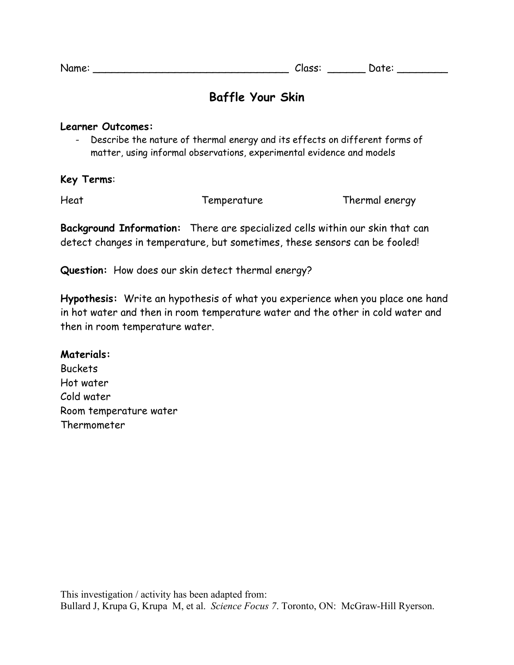| Name: |  | -- | nato:<br>- - |  |
|-------|--|----|--------------|--|
|-------|--|----|--------------|--|

# **Baffle Your Skin**

#### **Learner Outcomes:**

- Describe the nature of thermal energy and its effects on different forms of matter, using informal observations, experimental evidence and models

### **Key Terms**:

Heat Temperature Thermal energy

**Background Information:** There are specialized cells within our skin that can detect changes in temperature, but sometimes, these sensors can be fooled!

**Question:** How does our skin detect thermal energy?

**Hypothesis:** Write an hypothesis of what you experience when you place one hand in hot water and then in room temperature water and the other in cold water and then in room temperature water.

### **Materials:**

**Buckets** Hot water Cold water Room temperature water Thermometer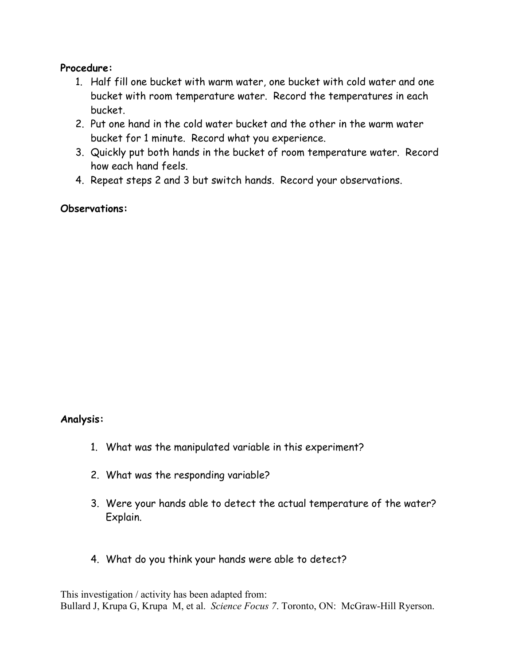### **Procedure:**

- 1. Half fill one bucket with warm water, one bucket with cold water and one bucket with room temperature water. Record the temperatures in each bucket.
- 2. Put one hand in the cold water bucket and the other in the warm water bucket for 1 minute. Record what you experience.
- 3. Quickly put both hands in the bucket of room temperature water. Record how each hand feels.
- 4. Repeat steps 2 and 3 but switch hands. Record your observations.

## **Observations:**

### **Analysis:**

- 1. What was the manipulated variable in this experiment?
- 2. What was the responding variable?
- 3. Were your hands able to detect the actual temperature of the water? Explain.
- 4. What do you think your hands were able to detect?

This investigation / activity has been adapted from: Bullard J, Krupa G, Krupa M, et al. *Science Focus 7*. Toronto, ON: McGraw-Hill Ryerson.